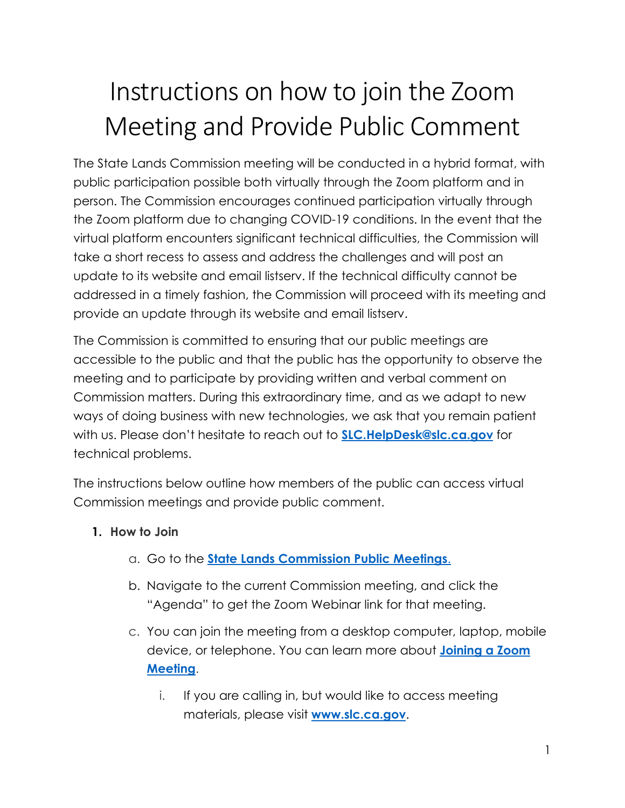# Instructions on how to join the Zoom Meeting and Provide Public Comment

The State Lands Commission meeting will be conducted in a hybrid format, with public participation possible both virtually through the Zoom platform and in person. The Commission encourages continued participation virtually through the Zoom platform due to changing COVID-19 conditions. In the event that the virtual platform encounters significant technical difficulties, the Commission will take a short recess to assess and address the challenges and will post an update to its website and email listserv. If the technical difficulty cannot be addressed in a timely fashion, the Commission will proceed with its meeting and provide an update through its website and email listserv.

The Commission is committed to ensuring that our public meetings are accessible to the public and that the public has the opportunity to observe the meeting and to participate by providing written and verbal comment on Commission matters. During this extraordinary time, and as we adapt to new ways of doing business with new technologies, we ask that you remain patient with us. Please don't hesitate to reach out to **[SLC.HelpDesk@slc.ca.gov](mailto:SLC.HelpDesk@slc.ca.gov)** for technical problems.

The instructions below outline how members of the public can access virtual Commission meetings and provide public comment.

### **1. How to Join**

- a. Go to the **[State Lands Commission Public Meetings](https://www.slc.ca.gov/)**.
- b. Navigate to the current Commission meeting, and click the "Agenda" to get the Zoom Webinar link for that meeting.
- c. You can join the meeting from a desktop computer, laptop, mobile device, or telephone. You can learn more about **[Joining a Zoom](https://support.zoom.us/hc/en-us/articles/201362193-Joining-a-Meeting)  [Meeting](https://support.zoom.us/hc/en-us/articles/201362193-Joining-a-Meeting)**.
	- i. If you are calling in, but would like to access meeting materials, please visit **[www.slc.ca.gov](http://www.slc.ca.gov/)**.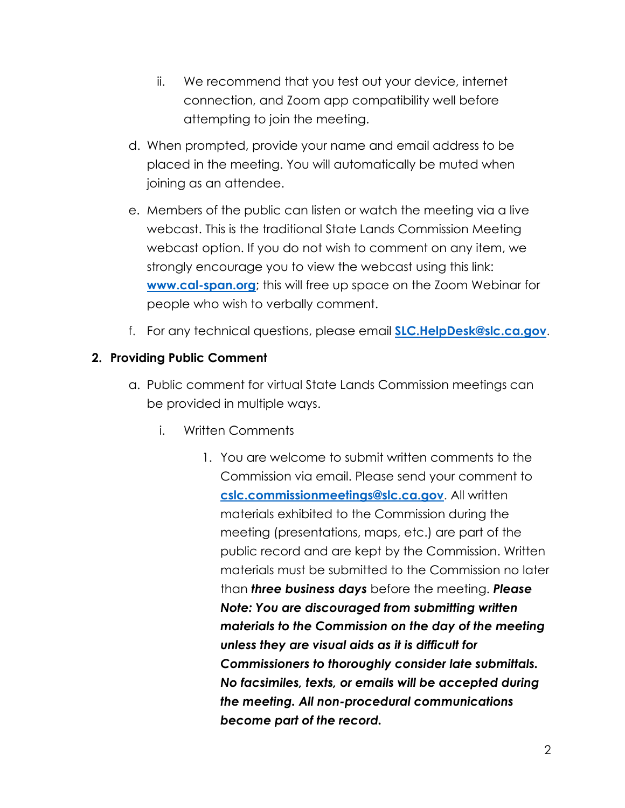- ii. We recommend that you test out your device, internet connection, and Zoom app compatibility well before attempting to join the meeting.
- d. When prompted, provide your name and email address to be placed in the meeting. You will automatically be muted when joining as an attendee.
- e. Members of the public can listen or watch the meeting via a live webcast. This is the traditional State Lands Commission Meeting webcast option. If you do not wish to comment on any item, we strongly encourage you to view the webcast using this link: **[www.cal-span.org](http://www.cal-span.org/)**; this will free up space on the Zoom Webinar for people who wish to verbally comment.
- f. For any technical questions, please email **[SLC.HelpDesk@slc.ca.gov](mailto:SLC.HelpDesk@slc.ca.gov)**.

#### **2. Providing Public Comment**

- a. Public comment for virtual State Lands Commission meetings can be provided in multiple ways.
	- i. Written Comments
		- 1. You are welcome to submit written comments to the Commission via email. Please send your comment to **[cslc.commissionmeetings@slc.ca.gov](mailto:cslc.commissionmeetings@slc.ca.gov)**. All written materials exhibited to the Commission during the meeting (presentations, maps, etc.) are part of the public record and are kept by the Commission. Written materials must be submitted to the Commission no later than *three business days* before the meeting. *Please Note: You are discouraged from submitting written materials to the Commission on the day of the meeting unless they are visual aids as it is difficult for Commissioners to thoroughly consider late submittals. No facsimiles, texts, or emails will be accepted during the meeting. All non-procedural communications become part of the record.*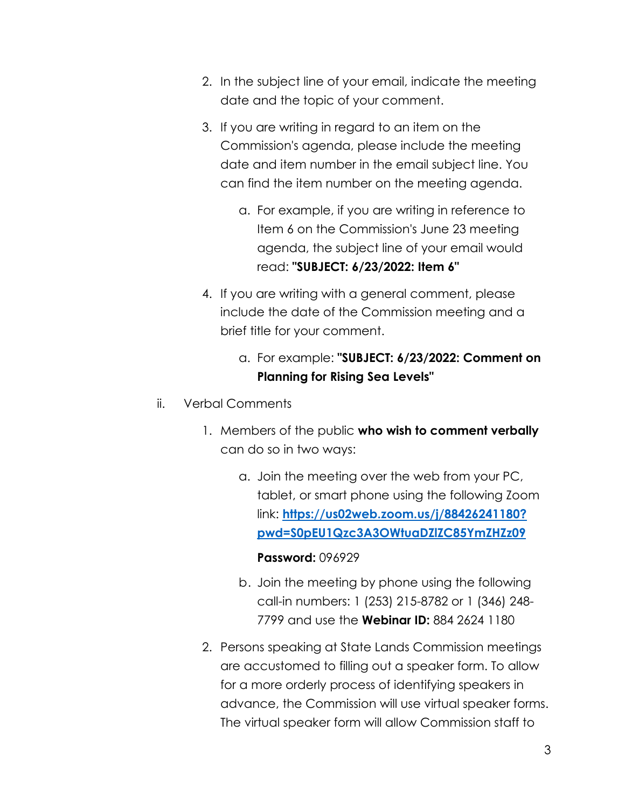- 2. In the subject line of your email, indicate the meeting date and the topic of your comment.
- 3. If you are writing in regard to an item on the Commission's agenda, please include the meeting date and item number in the email subject line. You can find the item number on the meeting agenda.
	- a. For example, if you are writing in reference to Item 6 on the Commission's June 23 meeting agenda, the subject line of your email would read: **"SUBJECT: 6/23/2022: Item 6"**
- 4. If you are writing with a general comment, please include the date of the Commission meeting and a brief title for your comment.
	- a. For example: **"SUBJECT: 6/23/2022: Comment on Planning for Rising Sea Levels"**
- ii. Verbal Comments
	- 1. Members of the public **who wish to comment verbally** can do so in two ways:
		- a. Join the meeting over the web from your PC, tablet, or smart phone using the following Zoom link: **[https://us02web.zoom.us/j/88426241180?](https://gcc02.safelinks.protection.outlook.com/?url=https%3A%2F%2Fus02web.zoom.us%2Fj%2F88426241180%3Fpwd%3DS0pEU1Qzc3A3OWtuaDZlZC85YmZHZz09&data=05%7C01%7CKim.Lunetta%40slc.ca.gov%7Cb4a7fa80d2fa41b0ea6a08da459ec400%7C5d87bd7bd6df44c49e8fb0895e3dffe7%7C0%7C0%7C637898846042429486%7CUnknown%7CTWFpbGZsb3d8eyJWIjoiMC4wLjAwMDAiLCJQIjoiV2luMzIiLCJBTiI6Ik1haWwiLCJXVCI6Mn0%3D%7C2000%7C%7C%7C&sdata=euhw9pQZH9itpzMsUYtc7wAbaEk9%2FbCua1vjyfumDGg%3D&reserved=0) [pwd=S0pEU1Qzc3A3OWtuaDZlZC85YmZHZz09](https://gcc02.safelinks.protection.outlook.com/?url=https%3A%2F%2Fus02web.zoom.us%2Fj%2F88426241180%3Fpwd%3DS0pEU1Qzc3A3OWtuaDZlZC85YmZHZz09&data=05%7C01%7CKim.Lunetta%40slc.ca.gov%7Cb4a7fa80d2fa41b0ea6a08da459ec400%7C5d87bd7bd6df44c49e8fb0895e3dffe7%7C0%7C0%7C637898846042429486%7CUnknown%7CTWFpbGZsb3d8eyJWIjoiMC4wLjAwMDAiLCJQIjoiV2luMzIiLCJBTiI6Ik1haWwiLCJXVCI6Mn0%3D%7C2000%7C%7C%7C&sdata=euhw9pQZH9itpzMsUYtc7wAbaEk9%2FbCua1vjyfumDGg%3D&reserved=0)**

#### **Password:** 096929

- b. Join the meeting by phone using the following call-in numbers: 1 (253) 215-8782 or 1 (346) 248- 7799 and use the **Webinar ID:** 884 2624 1180
- 2. Persons speaking at State Lands Commission meetings are accustomed to filling out a speaker form. To allow for a more orderly process of identifying speakers in advance, the Commission will use virtual speaker forms. The virtual speaker form will allow Commission staff to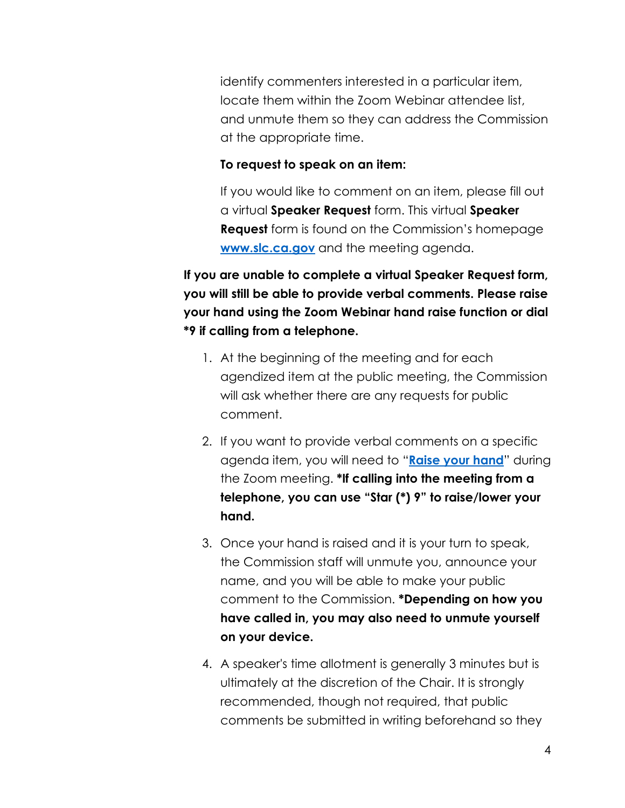identify commenters interested in a particular item, locate them within the Zoom Webinar attendee list, and unmute them so they can address the Commission at the appropriate time.

#### **To request to speak on an item:**

If you would like to comment on an item, please fill out a virtual **Speaker Request** form. This virtual **Speaker Request** form is found on the Commission's homepage **[www.slc.ca.gov](http://www.slc.ca.gov/)** and the meeting agenda.

**If you are unable to complete a virtual Speaker Request form, you will still be able to provide verbal comments. Please raise your hand using the Zoom Webinar hand raise function or dial \*9 if calling from a telephone.** 

- 1. At the beginning of the meeting and for each agendized item at the public meeting, the Commission will ask whether there are any requests for public comment.
- 2. If you want to provide verbal comments on a specific agenda item, you will need to "**[Raise your hand](https://support.zoom.us/hc/en-us/articles/205566129-Raise-Hand-In-Webinar)**" during the Zoom meeting. **\*If calling into the meeting from a telephone, you can use "Star (\*) 9" to raise/lower your hand.**
- 3. Once your hand is raised and it is your turn to speak, the Commission staff will unmute you, announce your name, and you will be able to make your public comment to the Commission. **\*Depending on how you have called in, you may also need to unmute yourself on your device.**
- 4. A speaker's time allotment is generally 3 minutes but is ultimately at the discretion of the Chair. It is strongly recommended, though not required, that public comments be submitted in writing beforehand so they